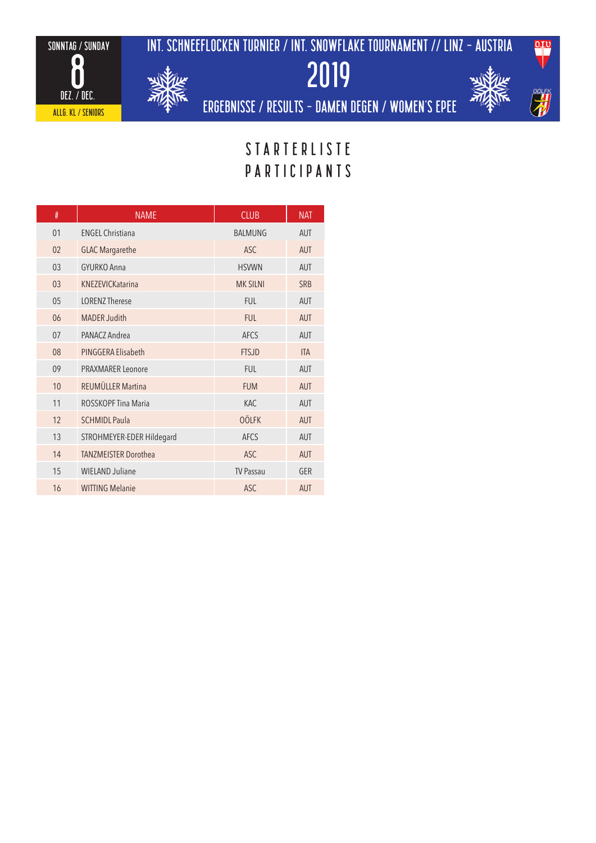sonntag / sunday 

> dez. / dec. ALLG. KL / seniors



int. schneeflocken turnier / INT. SNOWFLAKE TOURNAMENT // linz - austria





ergebnisse / results - DAMEN degen / WOmen's epee

# **STARTERLISTE** PARTICIPANTS

| #  | <b>NAME</b>                 | <b>CLUB</b>      | <b>NAT</b> |
|----|-----------------------------|------------------|------------|
| 01 | <b>ENGEL Christiana</b>     | <b>BALMUNG</b>   | <b>AUT</b> |
| 02 | <b>GLAC Margarethe</b>      | <b>ASC</b>       | <b>AUT</b> |
| 03 | GYURKO Anna                 | <b>HSVWN</b>     | <b>AUT</b> |
| 03 | KNF7FVICKatarina            | <b>MK SILNI</b>  | <b>SRB</b> |
| 05 | <b>LORENZ Therese</b>       | <b>FUL</b>       | <b>AUT</b> |
| 06 | <b>MADER Judith</b>         | <b>FUL</b>       | <b>AUT</b> |
| 07 | PANACZ Andrea               | <b>AFCS</b>      | <b>AUT</b> |
| 08 | PINGGERA Elisabeth          | <b>FTSJD</b>     | <b>ITA</b> |
| 09 | PRAXMARFR Leonore           | <b>FUL</b>       | <b>AUT</b> |
| 10 | REUMÜLLER Martina           | <b>FUM</b>       | <b>AUT</b> |
| 11 | ROSSKOPF Tina Maria         | <b>KAC</b>       | <b>AUT</b> |
| 12 | <b>SCHMIDL Paula</b>        | <b>OÖLFK</b>     | <b>AUT</b> |
| 13 | STROHMEYER-EDER Hildegard   | <b>AFCS</b>      | <b>AUT</b> |
| 14 | <b>TANZMEISTER Dorothea</b> | <b>ASC</b>       | <b>AUT</b> |
| 15 | <b>WIELAND Juliane</b>      | <b>TV Passau</b> | GER        |
| 16 | <b>WITTING Melanie</b>      | <b>ASC</b>       | <b>AUT</b> |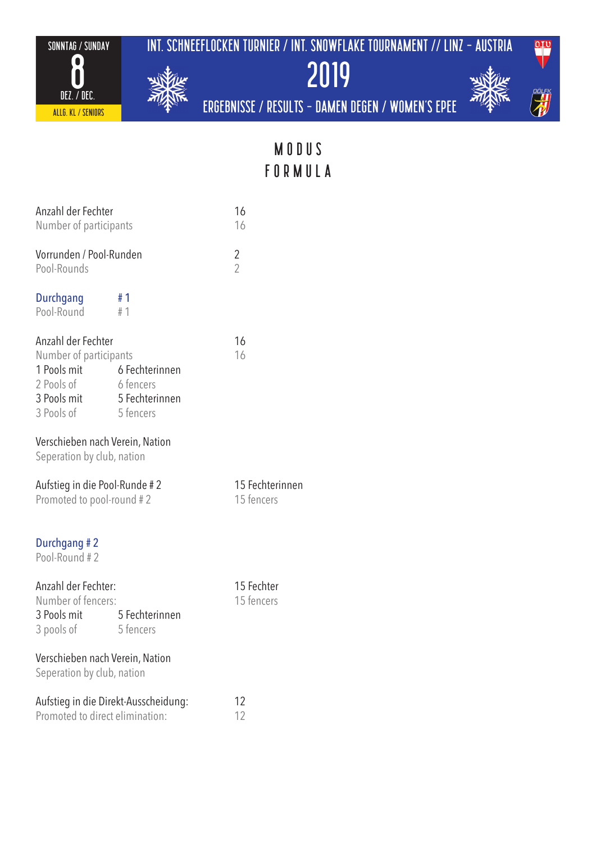sonntag / sunday int. schneeflocken turnier / INT. SNOWFLAKE TOURNAMENT // linz - austria





ergebnisse / results - DAMEN degen / WOmen's epee 2019



MODUS FORMULA

| Anzahl der Fechter<br>Number of participants                                                                                                                                                |           | 16<br>16                 |
|---------------------------------------------------------------------------------------------------------------------------------------------------------------------------------------------|-----------|--------------------------|
| Vorrunden / Pool-Runden<br>Pool-Rounds                                                                                                                                                      |           | 2<br>$\overline{2}$      |
| Durchgang<br>Pool-Round                                                                                                                                                                     | #1<br>#1  |                          |
| Anzahl der Fechter<br>Number of participants<br>1 Pools mit 6 Fechterinnen<br>2 Pools of 6 fencers<br>3 Pools mit 5 Fechterinnen<br>3 Pools of 5 fencers<br>Verschieben nach Verein, Nation |           | 16<br>16                 |
| Seperation by club, nation<br>Aufstieg in die Pool-Runde #2                                                                                                                                 |           | 15 Fechterinnen          |
| Promoted to pool-round #2                                                                                                                                                                   |           | 15 fencers               |
| Durchgang #2<br>Pool-Round #2                                                                                                                                                               |           |                          |
| Anzahl der Fechter:<br>Number of fencers:<br>3 Pools mit 5 Fechterinnen<br>3 pools of                                                                                                       | 5 fencers | 15 Fechter<br>15 fencers |
| Verschieben nach Verein, Nation<br>Seperation by club, nation                                                                                                                               |           |                          |
| Aufstieg in die Direkt-Ausscheidung:<br>Promoted to direct elimination:                                                                                                                     |           | 12<br>12                 |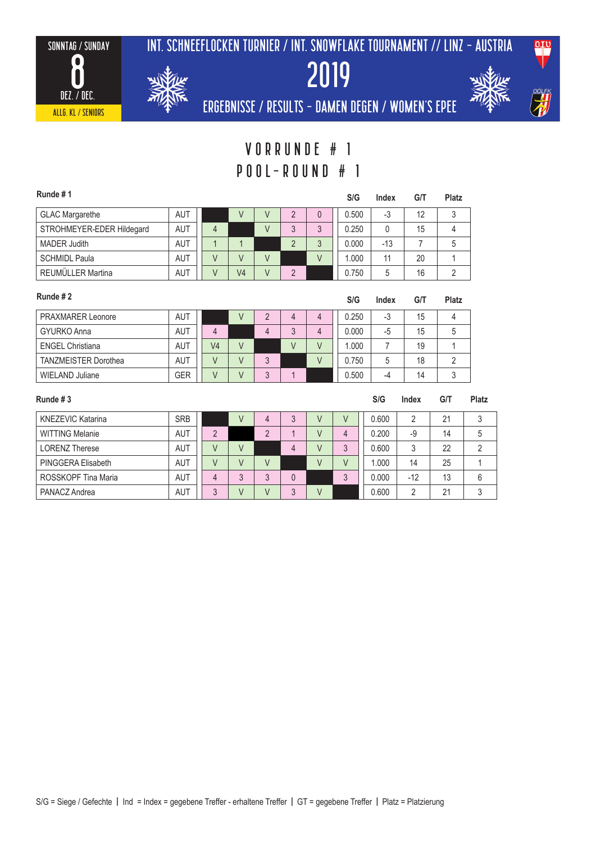



2019



ergebnisse / results - DAMEN degen / WOmen's epee

## Vorrunde # 1 pool-round # 1

| Runde #1                  |            |   |    |                |              | S/G   | Index | G/T | Platz |
|---------------------------|------------|---|----|----------------|--------------|-------|-------|-----|-------|
| <b>GLAC Margarethe</b>    | <b>AUT</b> |   |    | $\mathcal{D}$  |              | 0.500 | -3    | 12  |       |
| STROHMEYER-EDER Hildegard | AUT        | 4 |    | 3              | $\mathbf{z}$ | 0.250 |       | 15  |       |
| <b>MADER Judith</b>       | AUT        |   |    | $\overline{2}$ | $\mathbf{c}$ | 0.000 | $-13$ |     | 5     |
| <b>SCHMIDL Paula</b>      | AUT        |   |    |                |              | 1.000 | 11    | 20  |       |
| REUMÜLLER Martina         | AUT        |   | V4 | C              |              | 0.750 | 5     | 16  |       |

| Runde #2                    |            |                |   |   |   | S/G   | Index | G/T | <b>Platz</b> |
|-----------------------------|------------|----------------|---|---|---|-------|-------|-----|--------------|
| PRAXMARER Leonore           | <b>AUT</b> |                |   | 4 | 4 | 0.250 | -3    | 15  |              |
| <b>GYURKO Anna</b>          | <b>AUT</b> | 4              | 4 | 3 | 4 | 0.000 | -5    | 15  | 5            |
| <b>ENGEL Christiana</b>     | AUT        | V <sub>4</sub> |   | V |   | 1.000 |       | 19  |              |
| <b>TANZMEISTER Dorothea</b> | <b>AUT</b> |                |   |   |   | 0.750 | 5     | 18  |              |
| WIELAND Juliane             | <b>GER</b> |                |   |   |   | 0.500 | -4    | 14  | ર            |

| Runde #3                 |            |    |   |                |   |   |   | S/G   | Index | G/T | <b>Platz</b> |
|--------------------------|------------|----|---|----------------|---|---|---|-------|-------|-----|--------------|
| <b>KNEZEVIC Katarina</b> | <b>SRB</b> |    |   | 4              |   | V | V | 0.600 | 2     | 21  | 3            |
| <b>WITTING Melanie</b>   | <b>AUT</b> | ∩  |   | $\overline{2}$ |   | V | 4 | 0.200 | $-9$  | 14  | 5            |
| <b>LORENZ Therese</b>    | <b>AUT</b> |    | V |                | 4 | V | 3 | 0.600 | 3     | 22  | C            |
| PINGGERA Elisabeth       | <b>AUT</b> |    |   |                |   | V | V | 000.1 | 14    | 25  |              |
| ROSSKOPF Tina Maria      | <b>AUT</b> |    | 3 | 3              |   |   | 3 | 0.000 | $-12$ | 13  | 6            |
| PANACZ Andrea            | <b>AUT</b> | ્ર |   |                | ર |   |   | 0.600 | ∩     | 21  | 3            |

#### S/G = Siege / Gefechte | Ind = Index = gegebene Treffer - erhaltene Treffer | GT = gegebene Treffer | Platz = Platzierung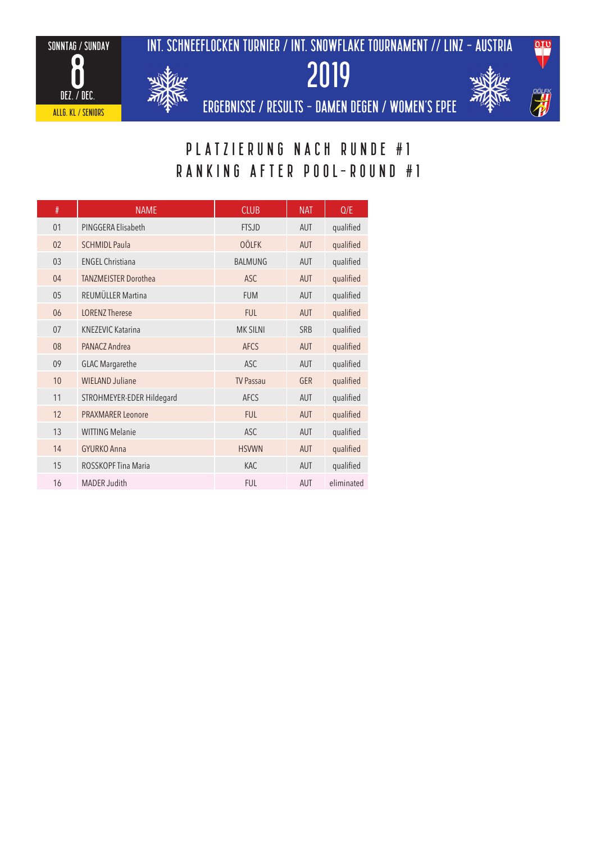







ergebnisse / results - DAMEN degen / WOmen's epee

## PLATZIERUNG NACH RUNDE #1 RANKING AFTER pool-round #1

| #  | <b>NAME</b>                 | <b>CLUB</b>      | <b>NAT</b> | Q/E        |
|----|-----------------------------|------------------|------------|------------|
| 01 | PINGGERA Elisabeth          | <b>FTSJD</b>     | AUT        | qualified  |
| 02 | <b>SCHMIDL Paula</b>        | <b>OÖLFK</b>     | <b>AUT</b> | qualified  |
| 03 | <b>FNGFI Christiana</b>     | <b>BALMUNG</b>   | <b>AUT</b> | qualified  |
| 04 | <b>TANZMEISTER Dorothea</b> | <b>ASC</b>       | <b>AUT</b> | qualified  |
| 05 | REUMÜLLER Martina           | <b>FUM</b>       | <b>AUT</b> | qualified  |
| 06 | <b>LORENZ Therese</b>       | <b>FUL</b>       | <b>AUT</b> | qualified  |
| 07 | <b>KNEZEVIC Katarina</b>    | <b>MK SILNI</b>  | <b>SRB</b> | qualified  |
| 08 | PANACZ Andrea               | <b>AFCS</b>      | <b>AUT</b> | qualified  |
| 09 | <b>GLAC Margarethe</b>      | <b>ASC</b>       | <b>AUT</b> | qualified  |
| 10 | <b>WIELAND Juliane</b>      | <b>TV Passau</b> | <b>GER</b> | qualified  |
| 11 | STROHMEYER-EDER Hildegard   | <b>AFCS</b>      | <b>AUT</b> | qualified  |
| 12 | <b>PRAXMARER Leonore</b>    | <b>FUL</b>       | <b>AUT</b> | qualified  |
| 13 | <b>WITTING Melanie</b>      | <b>ASC</b>       | <b>AUT</b> | qualified  |
| 14 | GYURKO Anna                 | <b>HSVWN</b>     | <b>AUT</b> | qualified  |
| 15 | ROSSKOPF Tina Maria         | <b>KAC</b>       | <b>AUT</b> | qualified  |
| 16 | <b>MADER Judith</b>         | <b>FUL</b>       | <b>AUT</b> | eliminated |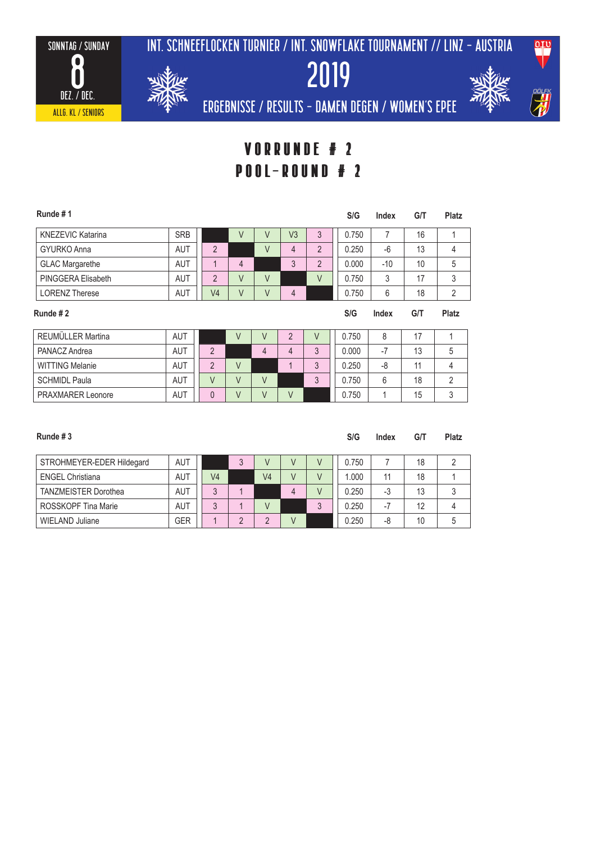2019





ergebnisse / results - DAMEN degen / WOmen's epee

### Vorrunde # 2 Vorrunde # 1 pool-round # 2 pool-round # 1

| Runde #1                 |            |                |   |   |    |   | S/G   | Index | G/T | <b>Platz</b> |
|--------------------------|------------|----------------|---|---|----|---|-------|-------|-----|--------------|
| <b>KNEZEVIC Katarina</b> | <b>SRB</b> |                | V | V | V3 | 3 | 0.750 |       | 16  |              |
| <b>GYURKO Anna</b>       | AUT        | $\overline{2}$ |   | V | 4  | 2 | 0.250 | -6    | 13  | 4            |
| <b>GLAC Margarethe</b>   | <b>AUT</b> |                | 4 |   | 3  | 2 | 0.000 | $-10$ | 10  | 5            |
| PINGGERA Elisabeth       | <b>AUT</b> | $\overline{2}$ | V | V |    | V | 0.750 | 3     | 17  | 3            |
| <b>LORENZ Therese</b>    | <b>AUT</b> | V4             | V | V | 4  |   | 0.750 | 6     | 18  | 2            |
| Runde #2                 |            |                |   |   |    |   | S/G   | Index | G/T | Platz        |

| REUMÜLLER Martina        | <b>AUT</b> |  |  |          | 0.750 |     | 17 |  |
|--------------------------|------------|--|--|----------|-------|-----|----|--|
| PANACZ Andrea            | AUT        |  |  | $\Omega$ | 0.000 | - 1 | 13 |  |
| <b>WITTING Melanie</b>   | AUT        |  |  | $\sim$   | 0.250 | -8  |    |  |
| <b>SCHMIDL Paula</b>     | <b>AUT</b> |  |  |          | 0.750 |     | 18 |  |
| <b>PRAXMARER Leonore</b> | AUT        |  |  |          | 0.750 |     | 15 |  |

| Runde #3                    |            |    |                |        | S/G   | Index | G/T | Platz |
|-----------------------------|------------|----|----------------|--------|-------|-------|-----|-------|
| STROHMEYER-EDER Hildegard   | AUT        |    | V              |        | 0.750 |       | 18  |       |
| <b>ENGEL Christiana</b>     | <b>AUT</b> | V4 | V <sub>4</sub> | $\vee$ | 1.000 | 11    | 18  |       |
| <b>TANZMEISTER Dorothea</b> | <b>AUT</b> | 3  |                | 4      | 0.250 | -3    | 13  |       |
| ROSSKOPF Tina Marie         | <b>AUT</b> | 3  | V              |        | 0.250 | - 1   | 12  |       |
| <b>WIELAND Juliane</b>      | GER        |    | $\Omega$       |        | 0.250 | -8    | 10  |       |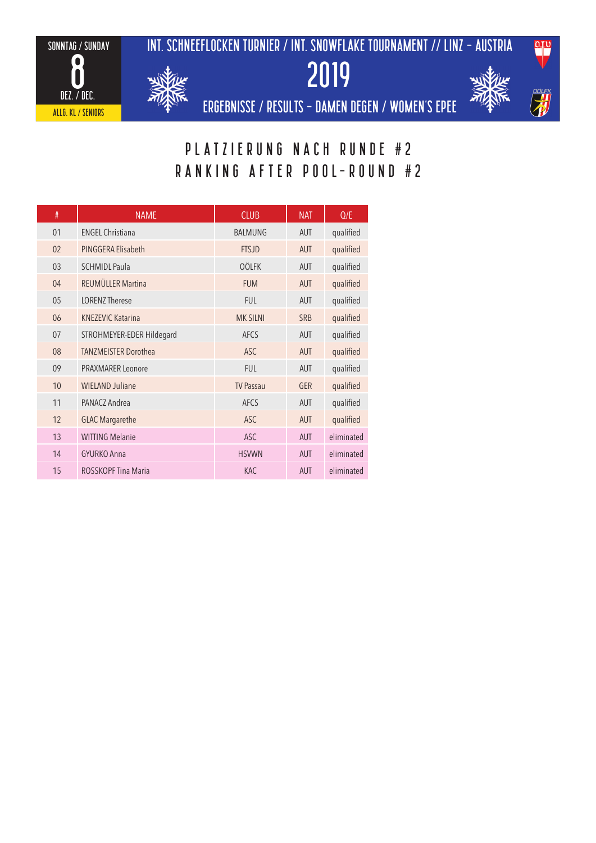







ergebnisse / results - DAMEN degen / WOmen's epee

## PLATZIERUNG NACH RUNDE #2 RANKING AFTER pool-round #2

| #  | <b>NAME</b>                 | <b>CLUB</b>      | <b>NAT</b> | Q/E        |
|----|-----------------------------|------------------|------------|------------|
| 01 | <b>ENGEL Christiana</b>     | <b>BALMUNG</b>   | <b>AUT</b> | qualified  |
| 02 | PINGGERA Elisabeth          | <b>FTSJD</b>     | <b>AUT</b> | qualified  |
| 03 | <b>SCHMIDL Paula</b>        | <b>OÖLFK</b>     | <b>AUT</b> | qualified  |
| 04 | REUMÜLLER Martina           | <b>FUM</b>       | <b>AUT</b> | qualified  |
| 05 | <b>IORENZ Therese</b>       | <b>FUL</b>       | <b>AUT</b> | qualified  |
| 06 | <b>KNEZEVIC Katarina</b>    | <b>MK SILNI</b>  | <b>SRB</b> | qualified  |
| 07 | STROHMEYER-EDER Hildegard   | <b>AFCS</b>      | <b>AUT</b> | qualified  |
| 08 | <b>TANZMEISTER Dorothea</b> | <b>ASC</b>       | <b>AUT</b> | qualified  |
| 09 | <b>PRAXMARER Leonore</b>    | <b>FUL</b>       | <b>AUT</b> | qualified  |
| 10 | <b>WIELAND Juliane</b>      | <b>TV Passau</b> | <b>GER</b> | qualified  |
| 11 | PANACZ Andrea               | <b>AFCS</b>      | <b>AUT</b> | qualified  |
| 12 | <b>GLAC Margarethe</b>      | <b>ASC</b>       | <b>AUT</b> | qualified  |
| 13 | <b>WITTING Melanie</b>      | <b>ASC</b>       | <b>AUT</b> | eliminated |
| 14 | <b>GYURKO Anna</b>          | <b>HSVWN</b>     | <b>AUT</b> | eliminated |
| 15 | ROSSKOPF Tina Maria         | <b>KAC</b>       | <b>AUT</b> | eliminated |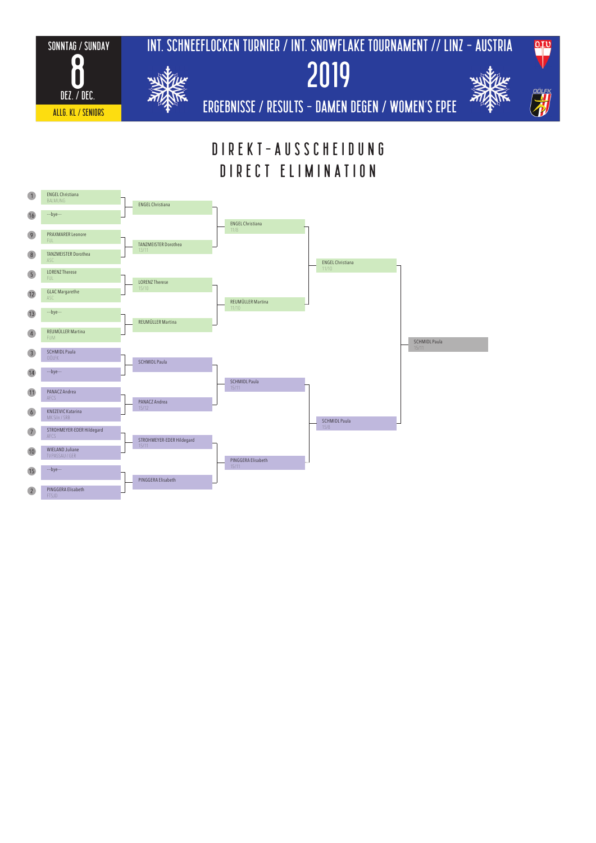

## DIREKT-AUSSCHEIDUNG DIRECT ELIMINATION